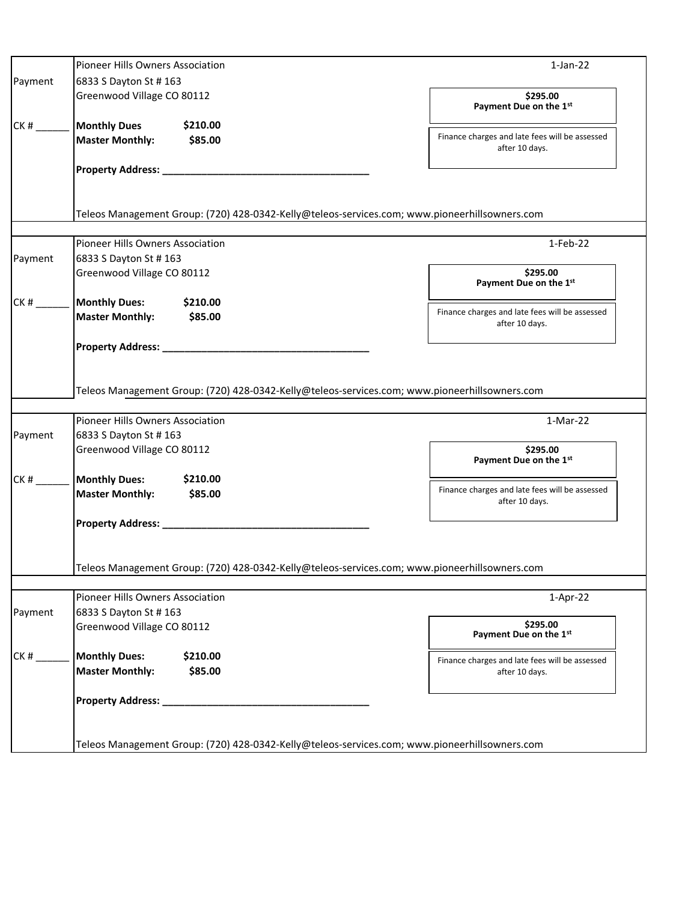|         | Pioneer Hills Owners Association                                                              | $1$ -Jan- $22$                                                   |  |
|---------|-----------------------------------------------------------------------------------------------|------------------------------------------------------------------|--|
| Payment | 6833 S Dayton St # 163                                                                        |                                                                  |  |
|         | Greenwood Village CO 80112                                                                    | \$295.00<br>Payment Due on the 1st                               |  |
| CK#     | <b>Monthly Dues</b><br>\$210.00<br><b>Master Monthly:</b><br>\$85.00                          | Finance charges and late fees will be assessed<br>after 10 days. |  |
|         |                                                                                               |                                                                  |  |
|         | Teleos Management Group: (720) 428-0342-Kelly@teleos-services.com; www.pioneerhillsowners.com |                                                                  |  |
|         | Pioneer Hills Owners Association                                                              | 1-Feb-22                                                         |  |
| Payment | 6833 S Dayton St # 163                                                                        |                                                                  |  |
|         | Greenwood Village CO 80112                                                                    | \$295.00<br>Payment Due on the 1st                               |  |
| CK#     | <b>Monthly Dues:</b><br>\$210.00                                                              | Finance charges and late fees will be assessed                   |  |
|         | <b>Master Monthly:</b><br>\$85.00                                                             | after 10 days.                                                   |  |
|         | Teleos Management Group: (720) 428-0342-Kelly@teleos-services.com; www.pioneerhillsowners.com |                                                                  |  |
|         | Pioneer Hills Owners Association                                                              | $1-Mar-22$                                                       |  |
| Payment | 6833 S Dayton St # 163                                                                        |                                                                  |  |
|         | Greenwood Village CO 80112                                                                    | \$295.00<br>Payment Due on the 1st                               |  |
| CK#     | <b>Monthly Dues:</b><br>\$210.00                                                              |                                                                  |  |
|         | <b>Master Monthly:</b><br>\$85.00                                                             | Finance charges and late fees will be assessed<br>after 10 days. |  |
|         | <b>Property Address: __</b>                                                                   |                                                                  |  |
|         | Teleos Management Group: (720) 428-0342-Kelly@teleos-services.com; www.pioneerhillsowners.com |                                                                  |  |
|         | Pioneer Hills Owners Association                                                              | $1-Apr-22$                                                       |  |
| Payment | 6833 S Dayton St # 163                                                                        |                                                                  |  |
|         | Greenwood Village CO 80112                                                                    | \$295.00<br>Payment Due on the 1st                               |  |
| CK#     | <b>Monthly Dues:</b><br>\$210.00<br><b>Master Monthly:</b><br>\$85.00                         | Finance charges and late fees will be assessed<br>after 10 days. |  |
|         | <b>Property Address: __</b>                                                                   |                                                                  |  |
|         | Teleos Management Group: (720) 428-0342-Kelly@teleos-services.com; www.pioneerhillsowners.com |                                                                  |  |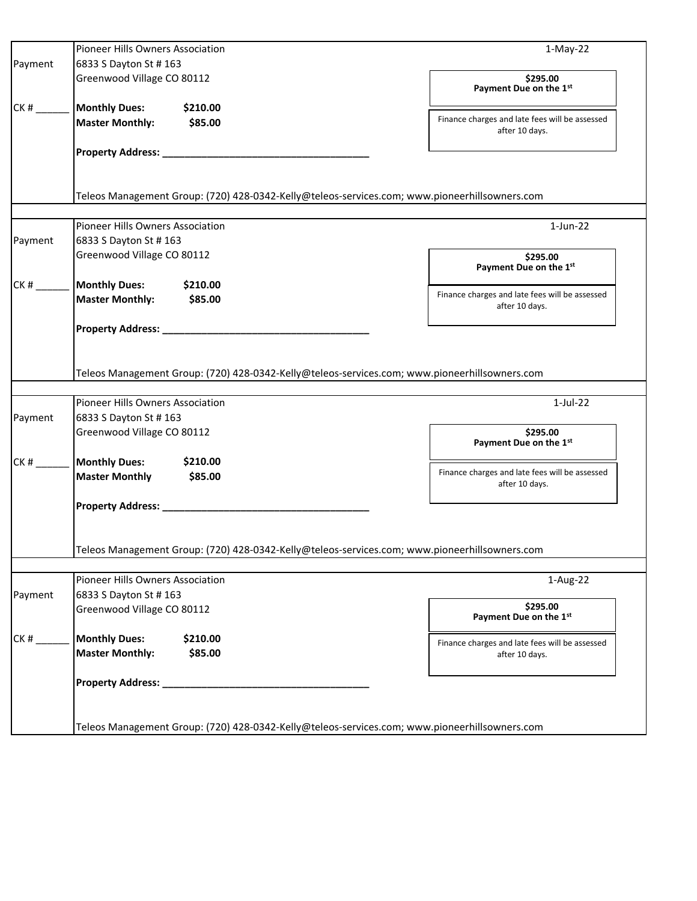|         | Pioneer Hills Owners Association                                                              | $1-May-22$                                                       |  |  |
|---------|-----------------------------------------------------------------------------------------------|------------------------------------------------------------------|--|--|
| Payment | 6833 S Dayton St # 163                                                                        |                                                                  |  |  |
|         | Greenwood Village CO 80112                                                                    | \$295.00<br>Payment Due on the 1st                               |  |  |
| CK#     | <b>Monthly Dues:</b><br>\$210.00                                                              |                                                                  |  |  |
|         | <b>Master Monthly:</b><br>\$85.00                                                             | Finance charges and late fees will be assessed<br>after 10 days. |  |  |
|         |                                                                                               |                                                                  |  |  |
|         |                                                                                               |                                                                  |  |  |
|         | Teleos Management Group: (720) 428-0342-Kelly@teleos-services.com; www.pioneerhillsowners.com |                                                                  |  |  |
|         |                                                                                               |                                                                  |  |  |
|         | Pioneer Hills Owners Association                                                              | $1$ -Jun-22                                                      |  |  |
| Payment | 6833 S Dayton St # 163                                                                        |                                                                  |  |  |
|         | Greenwood Village CO 80112                                                                    | \$295.00<br>Payment Due on the 1st                               |  |  |
| CK#     | <b>Monthly Dues:</b><br>\$210.00                                                              | Finance charges and late fees will be assessed                   |  |  |
|         | <b>Master Monthly:</b><br>\$85.00                                                             | after 10 days.                                                   |  |  |
|         |                                                                                               |                                                                  |  |  |
|         |                                                                                               |                                                                  |  |  |
|         |                                                                                               |                                                                  |  |  |
|         | Teleos Management Group: (720) 428-0342-Kelly@teleos-services.com; www.pioneerhillsowners.com |                                                                  |  |  |
|         |                                                                                               |                                                                  |  |  |
|         | Pioneer Hills Owners Association                                                              | $1$ -Jul-22                                                      |  |  |
| Payment | 6833 S Dayton St # 163                                                                        | \$295.00                                                         |  |  |
|         | Greenwood Village CO 80112                                                                    | Payment Due on the 1st                                           |  |  |
| CK#     | <b>Monthly Dues:</b><br>\$210.00                                                              |                                                                  |  |  |
|         | <b>Master Monthly</b><br>\$85.00                                                              | Finance charges and late fees will be assessed<br>after 10 days. |  |  |
|         |                                                                                               |                                                                  |  |  |
|         |                                                                                               |                                                                  |  |  |
|         |                                                                                               |                                                                  |  |  |
|         | Teleos Management Group: (720) 428-0342-Kelly@teleos-services.com; www.pioneerhillsowners.com |                                                                  |  |  |
|         |                                                                                               |                                                                  |  |  |
|         | Pioneer Hills Owners Association                                                              | 1-Aug-22                                                         |  |  |
| Payment | 6833 S Dayton St # 163                                                                        |                                                                  |  |  |
|         | Greenwood Village CO 80112                                                                    | \$295.00                                                         |  |  |
|         |                                                                                               | Payment Due on the 1st                                           |  |  |
| CK#     | <b>Monthly Dues:</b><br>\$210.00                                                              | Finance charges and late fees will be assessed                   |  |  |
|         | <b>Master Monthly:</b><br>\$85.00                                                             | after 10 days.                                                   |  |  |
|         |                                                                                               |                                                                  |  |  |
|         |                                                                                               |                                                                  |  |  |
|         |                                                                                               |                                                                  |  |  |
|         | Teleos Management Group: (720) 428-0342-Kelly@teleos-services.com; www.pioneerhillsowners.com |                                                                  |  |  |
|         |                                                                                               |                                                                  |  |  |